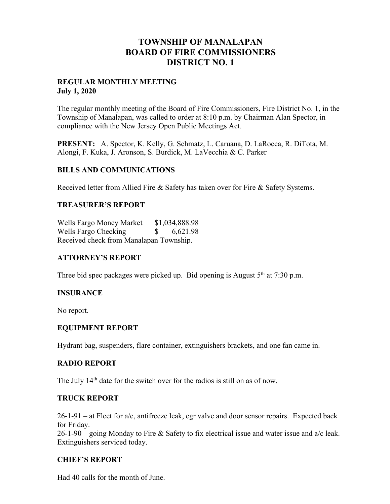# **TOWNSHIP OF MANALAPAN BOARD OF FIRE COMMISSIONERS DISTRICT NO. 1**

#### **REGULAR MONTHLY MEETING July 1, 2020**

The regular monthly meeting of the Board of Fire Commissioners, Fire District No. 1, in the Township of Manalapan, was called to order at 8:10 p.m. by Chairman Alan Spector, in compliance with the New Jersey Open Public Meetings Act.

**PRESENT:** A. Spector, K. Kelly, G. Schmatz, L. Caruana, D. LaRocca, R. DiTota, M. Alongi, F. Kuka, J. Aronson, S. Burdick, M. LaVecchia & C. Parker

## **BILLS AND COMMUNICATIONS**

Received letter from Allied Fire & Safety has taken over for Fire & Safety Systems.

## **TREASURER'S REPORT**

Wells Fargo Money Market \$1,034,888.98 Wells Fargo Checking  $$ 6,621.98$ Received check from Manalapan Township.

# **ATTORNEY'S REPORT**

Three bid spec packages were picked up. Bid opening is August  $5<sup>th</sup>$  at 7:30 p.m.

#### **INSURANCE**

No report.

#### **EQUIPMENT REPORT**

Hydrant bag, suspenders, flare container, extinguishers brackets, and one fan came in.

#### **RADIO REPORT**

The July 14<sup>th</sup> date for the switch over for the radios is still on as of now.

#### **TRUCK REPORT**

 $26-1-91$  – at Fleet for a/c, antifreeze leak, egr valve and door sensor repairs. Expected back for Friday.

 $26-1-90$  – going Monday to Fire & Safety to fix electrical issue and water issue and  $a/c$  leak. Extinguishers serviced today.

# **CHIEF'S REPORT**

Had 40 calls for the month of June.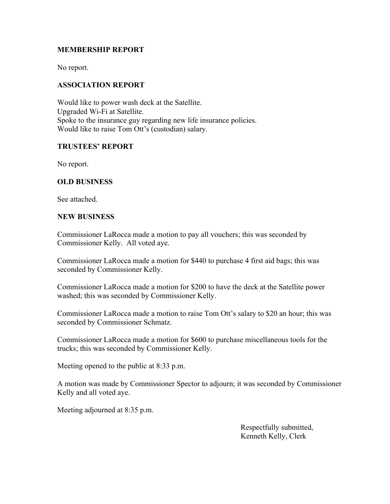## **MEMBERSHIP REPORT**

No report.

#### **ASSOCIATION REPORT**

Would like to power wash deck at the Satellite. Upgraded Wi-Fi at Satellite. Spoke to the insurance guy regarding new life insurance policies. Would like to raise Tom Ott's (custodian) salary.

## **TRUSTEES' REPORT**

No report.

## **OLD BUSINESS**

See attached.

#### **NEW BUSINESS**

Commissioner LaRocca made a motion to pay all vouchers; this was seconded by Commissioner Kelly. All voted aye.

Commissioner LaRocca made a motion for \$440 to purchase 4 first aid bags; this was seconded by Commissioner Kelly.

Commissioner LaRocca made a motion for \$200 to have the deck at the Satellite power washed; this was seconded by Commissioner Kelly.

Commissioner LaRocca made a motion to raise Tom Ott's salary to \$20 an hour; this was seconded by Commissioner Schmatz.

Commissioner LaRocca made a motion for \$600 to purchase miscellaneous tools for the trucks; this was seconded by Commissioner Kelly.

Meeting opened to the public at 8:33 p.m.

A motion was made by Commissioner Spector to adjourn; it was seconded by Commissioner Kelly and all voted aye.

Meeting adjourned at 8:35 p.m.

 Respectfully submitted, Kenneth Kelly, Clerk